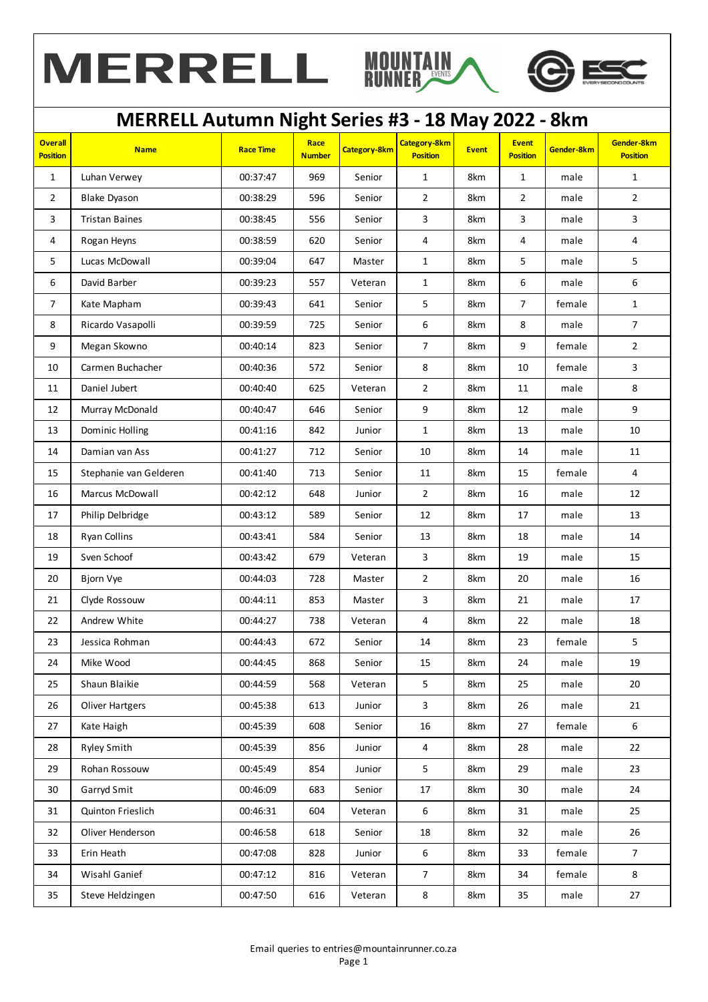



## **MERRELL Autumn Night Series #3 - 18 May 2022 - 8km**

| <b>Overall</b><br><b>Position</b> | <b>Name</b>            | <b>Race Time</b> | Race<br><b>Number</b> | Category-8km | <b>Category-8km</b><br><b>Position</b> | <b>Event</b> | <b>Event</b><br><b>Position</b> | Gender-8km | Gender-8km<br><b>Position</b> |
|-----------------------------------|------------------------|------------------|-----------------------|--------------|----------------------------------------|--------------|---------------------------------|------------|-------------------------------|
| $\mathbf{1}$                      | Luhan Verwey           | 00:37:47         | 969                   | Senior       | $\mathbf{1}$                           | 8km          | $\mathbf{1}$                    | male       | $\mathbf{1}$                  |
| $\overline{2}$                    | <b>Blake Dyason</b>    | 00:38:29         | 596                   | Senior       | $\overline{2}$                         | 8km          | $\overline{2}$                  | male       | $\overline{2}$                |
| $\overline{3}$                    | <b>Tristan Baines</b>  | 00:38:45         | 556                   | Senior       | 3                                      | 8km          | $\overline{3}$                  | male       | 3                             |
| 4                                 | Rogan Heyns            | 00:38:59         | 620                   | Senior       | $\overline{4}$                         | 8km          | $\overline{4}$                  | male       | 4                             |
| 5                                 | Lucas McDowall         | 00:39:04         | 647                   | Master       | $\mathbf{1}$                           | 8km          | 5                               | male       | 5                             |
| 6                                 | David Barber           | 00:39:23         | 557                   | Veteran      | $\mathbf{1}$                           | 8km          | 6                               | male       | 6                             |
| $\overline{7}$                    | Kate Mapham            | 00:39:43         | 641                   | Senior       | $5\phantom{.0}$                        | 8km          | $\overline{7}$                  | female     | $\mathbf{1}$                  |
| $\bf 8$                           | Ricardo Vasapolli      | 00:39:59         | 725                   | Senior       | $\boldsymbol{6}$                       | 8km          | 8                               | male       | $\overline{7}$                |
| 9                                 | Megan Skowno           | 00:40:14         | 823                   | Senior       | $\overline{7}$                         | 8km          | $\boldsymbol{9}$                | female     | $\overline{2}$                |
| 10                                | Carmen Buchacher       | 00:40:36         | 572                   | Senior       | 8                                      | 8km          | $10\,$                          | female     | 3                             |
| 11                                | Daniel Jubert          | 00:40:40         | 625                   | Veteran      | $\overline{2}$                         | 8km          | 11                              | male       | 8                             |
| 12                                | Murray McDonald        | 00:40:47         | 646                   | Senior       | 9                                      | 8km          | 12                              | male       | 9                             |
| 13                                | Dominic Holling        | 00:41:16         | 842                   | Junior       | $\mathbf{1}$                           | 8km          | 13                              | male       | 10                            |
| 14                                | Damian van Ass         | 00:41:27         | 712                   | Senior       | $10\,$                                 | 8km          | 14                              | male       | $11\,$                        |
| 15                                | Stephanie van Gelderen | 00:41:40         | 713                   | Senior       | 11                                     | 8km          | 15                              | female     | 4                             |
| 16                                | Marcus McDowall        | 00:42:12         | 648                   | Junior       | $\overline{2}$                         | 8km          | 16                              | male       | 12                            |
| 17                                | Philip Delbridge       | 00:43:12         | 589                   | Senior       | 12                                     | 8km          | 17                              | male       | 13                            |
| 18                                | Ryan Collins           | 00:43:41         | 584                   | Senior       | 13                                     | 8km          | 18                              | male       | 14                            |
| 19                                | Sven Schoof            | 00:43:42         | 679                   | Veteran      | 3                                      | 8km          | 19                              | male       | 15                            |
| 20                                | <b>Bjorn Vye</b>       | 00:44:03         | 728                   | Master       | $\overline{2}$                         | 8km          | 20                              | male       | 16                            |
| 21                                | Clyde Rossouw          | 00:44:11         | 853                   | Master       | 3                                      | 8km          | 21                              | male       | 17                            |
| 22                                | Andrew White           | 00:44:27         | 738                   | Veteran      | $\overline{a}$                         | 8km          | 22                              | male       | 18                            |
| 23                                | Jessica Rohman         | 00:44:43         | 672                   | Senior       | 14                                     | 8km          | 23                              | female     | 5                             |
| 24                                | Mike Wood              | 00:44:45         | 868                   | Senior       | 15                                     | 8km          | $24\,$                          | male       | 19                            |
| 25                                | Shaun Blaikie          | 00:44:59         | 568                   | Veteran      | 5                                      | 8km          | 25                              | male       | 20                            |
| 26                                | <b>Oliver Hartgers</b> | 00:45:38         | 613                   | Junior       | 3                                      | 8km          | 26                              | male       | 21                            |
| 27                                | Kate Haigh             | 00:45:39         | 608                   | Senior       | 16                                     | 8km          | 27                              | female     | 6                             |
| 28                                | <b>Ryley Smith</b>     | 00:45:39         | 856                   | Junior       | $\overline{4}$                         | 8km          | 28                              | male       | 22                            |
| 29                                | Rohan Rossouw          | 00:45:49         | 854                   | Junior       | 5                                      | 8km          | 29                              | male       | 23                            |
| 30                                | Garryd Smit            | 00:46:09         | 683                   | Senior       | 17                                     | 8km          | 30                              | male       | 24                            |
| 31                                | Quinton Frieslich      | 00:46:31         | 604                   | Veteran      | 6                                      | 8km          | 31                              | male       | 25                            |
| 32                                | Oliver Henderson       | 00:46:58         | 618                   | Senior       | 18                                     | 8km          | 32                              | male       | 26                            |
| 33                                | Erin Heath             | 00:47:08         | 828                   | Junior       | $6\,$                                  | 8km          | 33                              | female     | $\overline{7}$                |
| 34                                | Wisahl Ganief          | 00:47:12         | 816                   | Veteran      | $\overline{7}$                         | 8km          | 34                              | female     | 8                             |
| 35                                | Steve Heldzingen       | 00:47:50         | 616                   | Veteran      | 8                                      | 8km          | 35                              | male       | 27                            |
|                                   |                        |                  |                       |              |                                        |              |                                 |            |                               |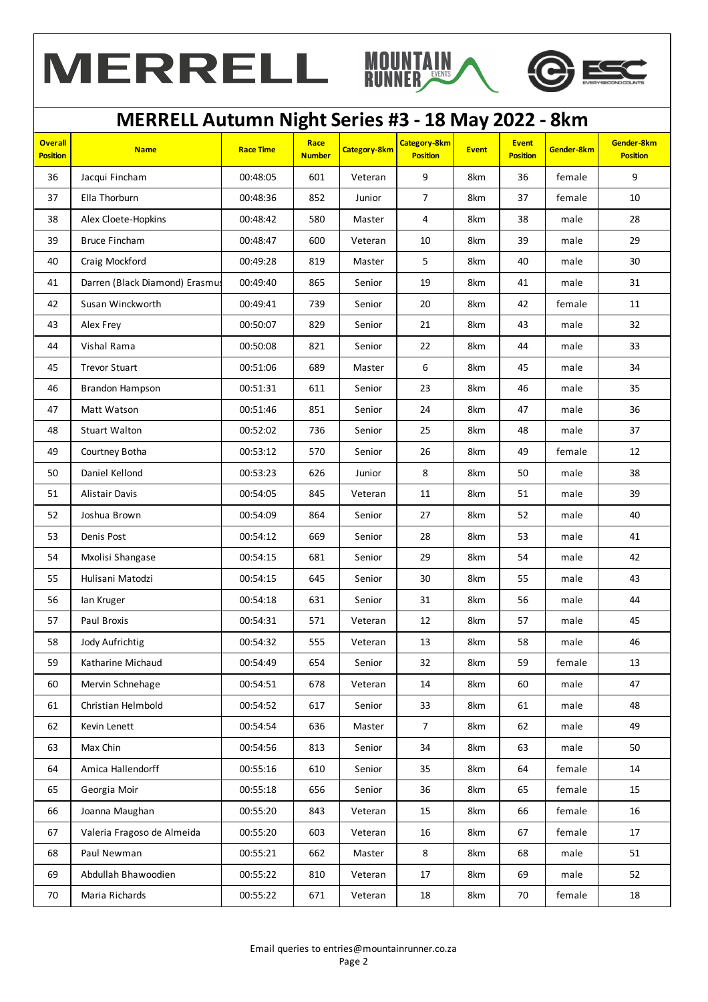



## **MERRELL Autumn Night Series #3 - 18 May 2022 - 8km**

| <b>Overall</b><br><b>Position</b> | <b>Name</b>                    | <b>Race Time</b> | Race<br><b>Number</b> | <b>Category-8km</b> | <b>Category-8km</b><br><b>Position</b> | <b>Event</b> | <b>Event</b><br><b>Position</b> | Gender-8km | Gender-8km<br><b>Position</b> |
|-----------------------------------|--------------------------------|------------------|-----------------------|---------------------|----------------------------------------|--------------|---------------------------------|------------|-------------------------------|
| 36                                | Jacqui Fincham                 | 00:48:05         | 601                   | Veteran             | 9                                      | 8km          | 36                              | female     | 9                             |
| 37                                | Ella Thorburn                  | 00:48:36         | 852                   | Junior              | $\overline{7}$                         | 8km          | 37                              | female     | 10                            |
| 38                                | Alex Cloete-Hopkins            | 00:48:42         | 580                   | Master              | 4                                      | 8km          | 38                              | male       | 28                            |
| 39                                | <b>Bruce Fincham</b>           | 00:48:47         | 600                   | Veteran             | 10                                     | 8km          | 39                              | male       | 29                            |
| 40                                | Craig Mockford                 | 00:49:28         | 819                   | Master              | 5                                      | 8km          | 40                              | male       | 30                            |
| 41                                | Darren (Black Diamond) Erasmus | 00:49:40         | 865                   | Senior              | 19                                     | 8km          | 41                              | male       | 31                            |
| 42                                | Susan Winckworth               | 00:49:41         | 739                   | Senior              | 20                                     | 8km          | 42                              | female     | 11                            |
| 43                                | Alex Frey                      | 00:50:07         | 829                   | Senior              | 21                                     | 8km          | 43                              | male       | 32                            |
| 44                                | Vishal Rama                    | 00:50:08         | 821                   | Senior              | 22                                     | 8km          | 44                              | male       | 33                            |
| 45                                | <b>Trevor Stuart</b>           | 00:51:06         | 689                   | Master              | 6                                      | 8km          | 45                              | male       | 34                            |
| 46                                | Brandon Hampson                | 00:51:31         | 611                   | Senior              | 23                                     | 8km          | 46                              | male       | 35                            |
| 47                                | Matt Watson                    | 00:51:46         | 851                   | Senior              | 24                                     | 8km          | 47                              | male       | 36                            |
| 48                                | <b>Stuart Walton</b>           | 00:52:02         | 736                   | Senior              | 25                                     | 8km          | 48                              | male       | 37                            |
| 49                                | Courtney Botha                 | 00:53:12         | 570                   | Senior              | 26                                     | 8km          | 49                              | female     | 12                            |
| 50                                | Daniel Kellond                 | 00:53:23         | 626                   | Junior              | 8                                      | 8km          | 50                              | male       | 38                            |
| 51                                | Alistair Davis                 | 00:54:05         | 845                   | Veteran             | 11                                     | 8km          | 51                              | male       | 39                            |
| 52                                | Joshua Brown                   | 00:54:09         | 864                   | Senior              | 27                                     | 8km          | 52                              | male       | 40                            |
| 53                                | Denis Post                     | 00:54:12         | 669                   | Senior              | 28                                     | 8km          | 53                              | male       | 41                            |
| 54                                | Mxolisi Shangase               | 00:54:15         | 681                   | Senior              | 29                                     | 8km          | 54                              | male       | 42                            |
| 55                                | Hulisani Matodzi               | 00:54:15         | 645                   | Senior              | 30                                     | 8km          | 55                              | male       | 43                            |
| 56                                | lan Kruger                     | 00:54:18         | 631                   | Senior              | 31                                     | 8km          | 56                              | male       | 44                            |
| 57                                | Paul Broxis                    | 00:54:31         | 571                   | Veteran             | 12                                     | 8km          | 57                              | male       | 45                            |
| 58                                | Jody Aufrichtig                | 00:54:32         | 555                   | Veteran             | 13                                     | 8km          | 58                              | male       | 46                            |
| 59                                | Katharine Michaud              | 00:54:49         | 654                   | Senior              | 32                                     | 8km          | 59                              | female     | 13                            |
| 60                                | Mervin Schnehage               | 00:54:51         | 678                   | Veteran             | 14                                     | 8km          | 60                              | male       | 47                            |
| 61                                | Christian Helmbold             | 00:54:52         | 617                   | Senior              | 33                                     | 8km          | 61                              | male       | 48                            |
| 62                                | Kevin Lenett                   | 00:54:54         | 636                   | Master              | $\overline{7}$                         | 8km          | 62                              | male       | 49                            |
| 63                                | Max Chin                       | 00:54:56         | 813                   | Senior              | 34                                     | 8km          | 63                              | male       | 50                            |
| 64                                | Amica Hallendorff              | 00:55:16         | 610                   | Senior              | 35                                     | 8km          | 64                              | female     | 14                            |
| 65                                | Georgia Moir                   | 00:55:18         | 656                   | Senior              | 36                                     | 8km          | 65                              | female     | 15                            |
| 66                                | Joanna Maughan                 | 00:55:20         | 843                   | Veteran             | 15                                     | 8km          | 66                              | female     | 16                            |
| 67                                | Valeria Fragoso de Almeida     | 00:55:20         | 603                   | Veteran             | 16                                     | 8km          | 67                              | female     | 17                            |
| 68                                | Paul Newman                    | 00:55:21         | 662                   | Master              | 8                                      | 8km          | 68                              | male       | 51                            |
| 69                                | Abdullah Bhawoodien            | 00:55:22         | 810                   | Veteran             | 17                                     | 8km          | 69                              | male       | 52                            |
| 70                                | Maria Richards                 | 00:55:22         | 671                   | Veteran             | 18                                     | 8km          | 70                              | female     | 18                            |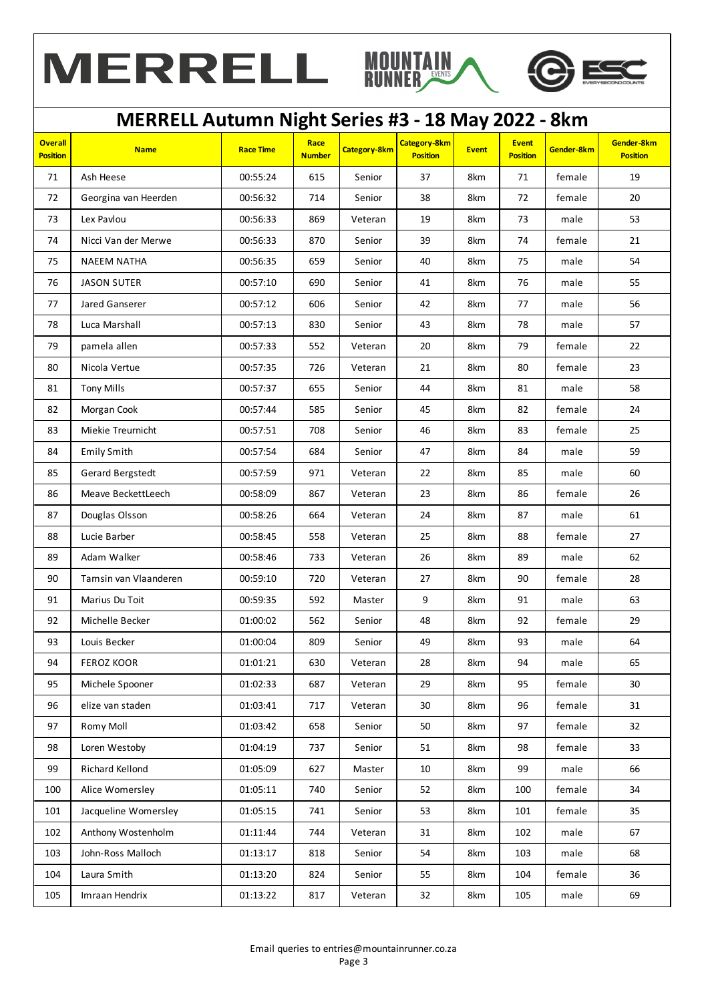



## **MERRELL Autumn Night Series #3 - 18 May 2022 - 8km**

| <b>Overall</b><br><b>Position</b> | <b>Name</b>           | <b>Race Time</b> | Race<br><b>Number</b> | Category-8km | Category-8km<br><b>Position</b> | <b>Event</b> | <b>Event</b><br><b>Position</b> | Gender-8km | Gender-8km<br><b>Position</b> |
|-----------------------------------|-----------------------|------------------|-----------------------|--------------|---------------------------------|--------------|---------------------------------|------------|-------------------------------|
| 71                                | Ash Heese             | 00:55:24         | 615                   | Senior       | 37                              | 8km          | 71                              | female     | 19                            |
| 72                                | Georgina van Heerden  | 00:56:32         | 714                   | Senior       | 38                              | 8km          | 72                              | female     | 20                            |
| 73                                | Lex Pavlou            | 00:56:33         | 869                   | Veteran      | 19                              | 8km          | 73                              | male       | 53                            |
| 74                                | Nicci Van der Merwe   | 00:56:33         | 870                   | Senior       | 39                              | 8km          | 74                              | female     | 21                            |
| 75                                | <b>NAEEM NATHA</b>    | 00:56:35         | 659                   | Senior       | 40                              | 8km          | 75                              | male       | 54                            |
| 76                                | <b>JASON SUTER</b>    | 00:57:10         | 690                   | Senior       | 41                              | 8km          | 76                              | male       | 55                            |
| 77                                | Jared Ganserer        | 00:57:12         | 606                   | Senior       | 42                              | 8km          | 77                              | male       | 56                            |
| 78                                | Luca Marshall         | 00:57:13         | 830                   | Senior       | 43                              | 8km          | 78                              | male       | 57                            |
| 79                                | pamela allen          | 00:57:33         | 552                   | Veteran      | 20                              | 8km          | 79                              | female     | 22                            |
| 80                                | Nicola Vertue         | 00:57:35         | 726                   | Veteran      | 21                              | 8km          | 80                              | female     | 23                            |
| 81                                | <b>Tony Mills</b>     | 00:57:37         | 655                   | Senior       | 44                              | 8km          | 81                              | male       | 58                            |
| 82                                | Morgan Cook           | 00:57:44         | 585                   | Senior       | 45                              | 8km          | 82                              | female     | 24                            |
| 83                                | Miekie Treurnicht     | 00:57:51         | 708                   | Senior       | 46                              | 8km          | 83                              | female     | 25                            |
| 84                                | <b>Emily Smith</b>    | 00:57:54         | 684                   | Senior       | 47                              | 8km          | 84                              | male       | 59                            |
| 85                                | Gerard Bergstedt      | 00:57:59         | 971                   | Veteran      | 22                              | 8km          | 85                              | male       | 60                            |
| 86                                | Meave BeckettLeech    | 00:58:09         | 867                   | Veteran      | 23                              | 8km          | 86                              | female     | 26                            |
| 87                                | Douglas Olsson        | 00:58:26         | 664                   | Veteran      | 24                              | 8km          | 87                              | male       | 61                            |
| 88                                | Lucie Barber          | 00:58:45         | 558                   | Veteran      | 25                              | 8km          | 88                              | female     | 27                            |
| 89                                | Adam Walker           | 00:58:46         | 733                   | Veteran      | 26                              | 8km          | 89                              | male       | 62                            |
| 90                                | Tamsin van Vlaanderen | 00:59:10         | 720                   | Veteran      | 27                              | 8km          | 90                              | female     | 28                            |
| 91                                | Marius Du Toit        | 00:59:35         | 592                   | Master       | 9                               | 8km          | 91                              | male       | 63                            |
| 92                                | Michelle Becker       | 01:00:02         | 562                   | Senior       | 48                              | 8km          | 92                              | female     | 29                            |
| 93                                | Louis Becker          | 01:00:04         | 809                   | Senior       | 49                              | 8km          | 93                              | male       | 64                            |
| 94                                | <b>FEROZ KOOR</b>     | 01:01:21         | 630                   | Veteran      | 28                              | 8km          | 94                              | male       | 65                            |
| 95                                | Michele Spooner       | 01:02:33         | 687                   | Veteran      | 29                              | 8km          | 95                              | female     | 30                            |
| 96                                | elize van staden      | 01:03:41         | 717                   | Veteran      | 30                              | 8km          | 96                              | female     | 31                            |
| 97                                | Romy Moll             | 01:03:42         | 658                   | Senior       | 50                              | 8km          | 97                              | female     | 32                            |
| 98                                | Loren Westoby         | 01:04:19         | 737                   | Senior       | 51                              | 8km          | 98                              | female     | 33                            |
| 99                                | Richard Kellond       | 01:05:09         | 627                   | Master       | 10                              | 8km          | 99                              | male       | 66                            |
| 100                               | Alice Womersley       | 01:05:11         | 740                   | Senior       | 52                              | 8km          | 100                             | female     | 34                            |
| 101                               | Jacqueline Womersley  | 01:05:15         | 741                   | Senior       | 53                              | 8km          | 101                             | female     | 35                            |
| 102                               | Anthony Wostenholm    | 01:11:44         | 744                   | Veteran      | 31                              | 8km          | 102                             | male       | 67                            |
| 103                               | John-Ross Malloch     | 01:13:17         | 818                   | Senior       | 54                              | 8km          | 103                             | male       | 68                            |
| 104                               | Laura Smith           | 01:13:20         | 824                   | Senior       | 55                              | 8km          | 104                             | female     | 36                            |
| 105                               | Imraan Hendrix        | 01:13:22         | 817                   | Veteran      | 32                              | 8km          | 105                             | male       | 69                            |
|                                   |                       |                  |                       |              |                                 |              |                                 |            |                               |